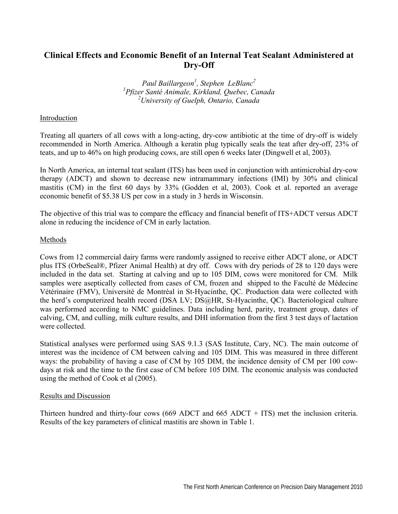# **Clinical Effects and Economic Benefit of an Internal Teat Sealant Administered at Dry-Off**

*Paul Baillargeon1 , Stephen LeBlanc<sup>2</sup> 1 Pfizer Santé Animale, Kirkland, Quebec, Canada 2 University of Guelph, Ontario, Canada*

## Introduction

Treating all quarters of all cows with a long-acting, dry-cow antibiotic at the time of dry-off is widely recommended in North America. Although a keratin plug typically seals the teat after dry-off, 23% of teats, and up to 46% on high producing cows, are still open 6 weeks later (Dingwell et al, 2003).

In North America, an internal teat sealant (ITS) has been used in conjunction with antimicrobial dry-cow therapy (ADCT) and shown to decrease new intramammary infections (IMI) by 30% and clinical mastitis (CM) in the first 60 days by 33% (Godden et al, 2003). Cook et al. reported an average economic benefit of \$5.38 US per cow in a study in 3 herds in Wisconsin.

The objective of this trial was to compare the efficacy and financial benefit of ITS+ADCT versus ADCT alone in reducing the incidence of CM in early lactation.

## Methods

Cows from 12 commercial dairy farms were randomly assigned to receive either ADCT alone, or ADCT plus ITS (OrbeSeal®, Pfizer Animal Health) at dry off. Cows with dry periods of 28 to 120 days were included in the data set. Starting at calving and up to 105 DIM, cows were monitored for CM. Milk samples were aseptically collected from cases of CM, frozen and shipped to the Faculté de Médecine Vétérinaire (FMV), Université de Montréal in St-Hyacinthe, QC. Production data were collected with the herd's computerized health record (DSA LV; DS@HR, St-Hyacinthe, QC). Bacteriological culture was performed according to NMC guidelines. Data including herd, parity, treatment group, dates of calving, CM, and culling, milk culture results, and DHI information from the first 3 test days of lactation were collected.

Statistical analyses were performed using SAS 9.1.3 (SAS Institute, Cary, NC). The main outcome of interest was the incidence of CM between calving and 105 DIM. This was measured in three different ways: the probability of having a case of CM by 105 DIM, the incidence density of CM per 100 cowdays at risk and the time to the first case of CM before 105 DIM. The economic analysis was conducted using the method of Cook et al (2005).

## Results and Discussion

Thirteen hundred and thirty-four cows (669 ADCT and 665 ADCT + ITS) met the inclusion criteria. Results of the key parameters of clinical mastitis are shown in Table 1.